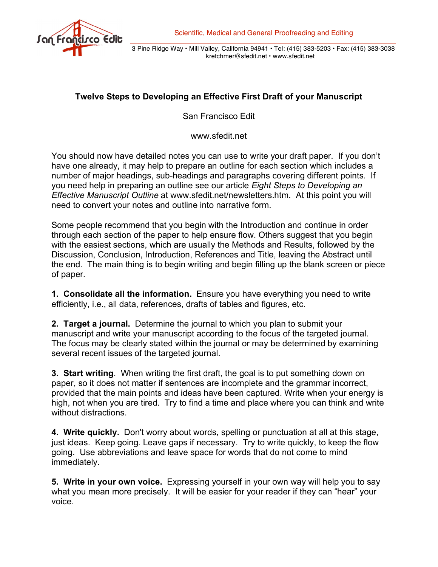

3 Pine Ridge Way • Mill Valley, California 94941 • Tel: (415) 383-5203 • Fax: (415) 383-3038 kretchmer@sfedit.net • www.sfedit.net

## **Twelve Steps to Developing an Effective First Draft of your Manuscript**

San Francisco Edit

www.sfedit.net

You should now have detailed notes you can use to write your draft paper. If you don't have one already, it may help to prepare an outline for each section which includes a number of major headings, sub-headings and paragraphs covering different points. If you need help in preparing an outline see our article *Eight Steps to Developing an Effective Manuscript Outline* at www.sfedit.net/newsletters.htm*.* At this point you will need to convert your notes and outline into narrative form.

Some people recommend that you begin with the Introduction and continue in order through each section of the paper to help ensure flow. Others suggest that you begin with the easiest sections, which are usually the Methods and Results, followed by the Discussion, Conclusion, Introduction, References and Title, leaving the Abstract until the end. The main thing is to begin writing and begin filling up the blank screen or piece of paper.

**1. Consolidate all the information.** Ensure you have everything you need to write efficiently, i.e., all data, references, drafts of tables and figures, etc.

**2. Target a journal.** Determine the journal to which you plan to submit your manuscript and write your manuscript according to the focus of the targeted journal. The focus may be clearly stated within the journal or may be determined by examining several recent issues of the targeted journal.

**3. Start writing**. When writing the first draft, the goal is to put something down on paper, so it does not matter if sentences are incomplete and the grammar incorrect, provided that the main points and ideas have been captured. Write when your energy is high, not when you are tired. Try to find a time and place where you can think and write without distractions.

**4. Write quickly.** Don't worry about words, spelling or punctuation at all at this stage, just ideas. Keep going. Leave gaps if necessary. Try to write quickly, to keep the flow going. Use abbreviations and leave space for words that do not come to mind immediately.

**5. Write in your own voice.** Expressing yourself in your own way will help you to say what you mean more precisely. It will be easier for your reader if they can "hear" your voice.